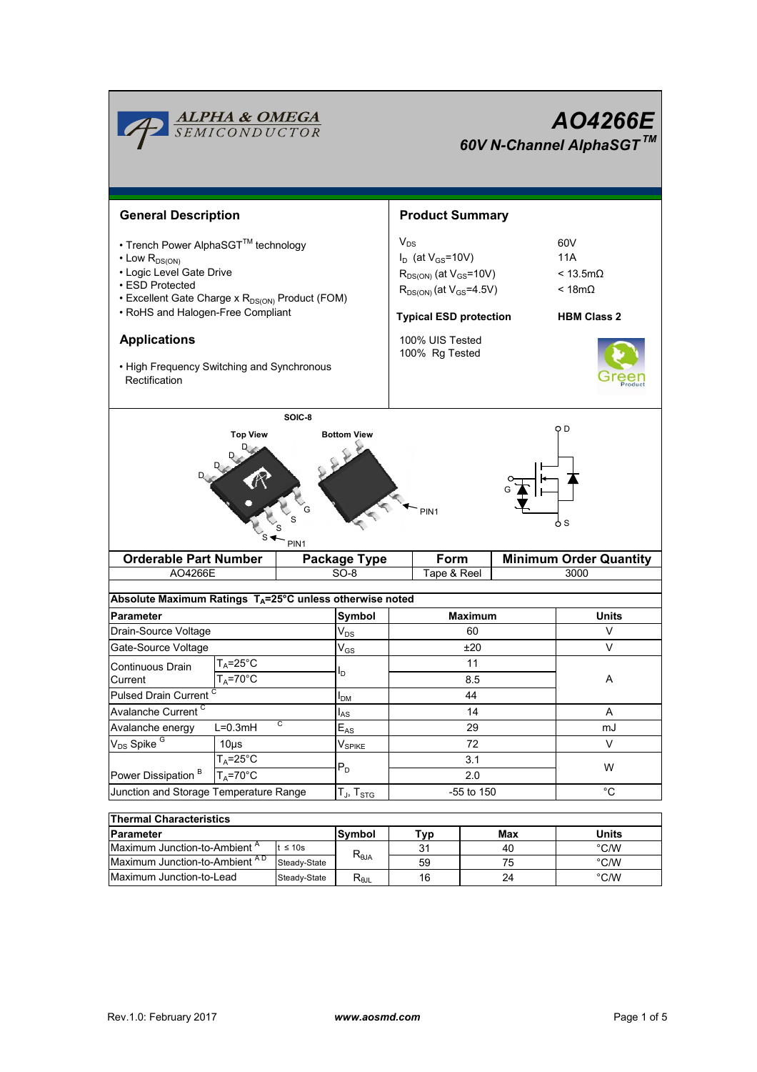|                                                                                                                                                                                                                                                                                                                       | <mark>ALPHA &amp; OMEGA</mark><br>SEMICONDUCTOR |                | <b>AO4266E</b><br>60V N-Channel AlphaSGT™ |                                                                                                                                                                                                             |             |                                                                              |                |  |  |  |  |
|-----------------------------------------------------------------------------------------------------------------------------------------------------------------------------------------------------------------------------------------------------------------------------------------------------------------------|-------------------------------------------------|----------------|-------------------------------------------|-------------------------------------------------------------------------------------------------------------------------------------------------------------------------------------------------------------|-------------|------------------------------------------------------------------------------|----------------|--|--|--|--|
| <b>General Description</b><br>• Trench Power AlphaSGT™ technology<br>$\cdot$ Low $R_{DS(ON)}$<br>• Logic Level Gate Drive<br>• ESD Protected<br>• Excellent Gate Charge x R <sub>DS(ON)</sub> Product (FOM)<br>• RoHS and Halogen-Free Compliant<br><b>Applications</b><br>• High Frequency Switching and Synchronous |                                                 |                |                                           | <b>Product Summary</b><br>$V_{DS}$<br>$I_D$ (at $V_{GS}$ =10V)<br>$R_{DS(ON)}$ (at $V_{GS}$ =10V)<br>$R_{DS(ON)}$ (at $V_{GS}$ =4.5V)<br><b>Typical ESD protection</b><br>100% UIS Tested<br>100% Rg Tested |             | 60V<br>11A<br>$< 13.5 \text{m}\Omega$<br>$< 18m\Omega$<br><b>HBM Class 2</b> |                |  |  |  |  |
| SOIC-8<br>O D<br><b>Top View</b><br><b>Bottom View</b><br>PIN <sub>1</sub><br>o s<br>PIN <sub>1</sub><br><b>Orderable Part Number</b><br>Form<br><b>Minimum Order Quantity</b><br><b>Package Type</b>                                                                                                                 |                                                 |                |                                           |                                                                                                                                                                                                             |             |                                                                              |                |  |  |  |  |
| AO4266E                                                                                                                                                                                                                                                                                                               |                                                 |                | $SO-8$                                    |                                                                                                                                                                                                             | Tape & Reel |                                                                              | 3000           |  |  |  |  |
| Absolute Maximum Ratings T <sub>A</sub> =25°C unless otherwise noted                                                                                                                                                                                                                                                  |                                                 |                |                                           |                                                                                                                                                                                                             |             |                                                                              |                |  |  |  |  |
| <b>Parameter</b>                                                                                                                                                                                                                                                                                                      |                                                 |                | Symbol                                    | <b>Maximum</b>                                                                                                                                                                                              |             |                                                                              | Units          |  |  |  |  |
| Drain-Source Voltage                                                                                                                                                                                                                                                                                                  |                                                 |                | $\mathsf{V}_{\mathsf{DS}}$                |                                                                                                                                                                                                             | 60          |                                                                              | V              |  |  |  |  |
| Gate-Source Voltage                                                                                                                                                                                                                                                                                                   |                                                 |                | $V_{GS}$                                  | ±20                                                                                                                                                                                                         |             |                                                                              | V              |  |  |  |  |
| Continuous Drain<br>Current<br>Pulsed Drain Current <sup>C</sup>                                                                                                                                                                                                                                                      | $L_A = 25^\circ C$<br>$T_A = 70^\circ C$        |                |                                           | 11<br>8.5<br>44                                                                                                                                                                                             |             | Α                                                                            |                |  |  |  |  |
| Avalanche Current <sup>C</sup>                                                                                                                                                                                                                                                                                        | $I_{DM}$<br>$I_{AS}$                            | 14             |                                           |                                                                                                                                                                                                             | Α           |                                                                              |                |  |  |  |  |
| С<br>Avalanche energy<br>$L=0.3mH$                                                                                                                                                                                                                                                                                    |                                                 |                | $E_{AS}$                                  | 29                                                                                                                                                                                                          |             |                                                                              | mJ             |  |  |  |  |
| V <sub>DS</sub> Spike <sup>G</sup><br>$10\mus$                                                                                                                                                                                                                                                                        |                                                 |                | $\mathsf{V}_{\mathsf{SPIKE}}$             | 72                                                                                                                                                                                                          |             |                                                                              | V              |  |  |  |  |
| $T_A = 25$ °C                                                                                                                                                                                                                                                                                                         |                                                 |                |                                           | 3.1                                                                                                                                                                                                         |             |                                                                              |                |  |  |  |  |
| $T_A = 70^\circ C$<br>Power Dissipation <sup>B</sup>                                                                                                                                                                                                                                                                  |                                                 |                | $P_D$                                     | 2.0                                                                                                                                                                                                         |             |                                                                              | W              |  |  |  |  |
| Junction and Storage Temperature Range                                                                                                                                                                                                                                                                                |                                                 |                | $T_J$ , $T_{STG}$                         | -55 to 150                                                                                                                                                                                                  |             |                                                                              | $^{\circ}C$    |  |  |  |  |
|                                                                                                                                                                                                                                                                                                                       |                                                 |                |                                           |                                                                                                                                                                                                             |             |                                                                              |                |  |  |  |  |
| <b>Thermal Characteristics</b>                                                                                                                                                                                                                                                                                        |                                                 |                |                                           |                                                                                                                                                                                                             |             |                                                                              |                |  |  |  |  |
| <b>Parameter</b>                                                                                                                                                                                                                                                                                                      |                                                 |                | Symbol                                    | Typ                                                                                                                                                                                                         |             | Max                                                                          | <b>Units</b>   |  |  |  |  |
| Maximum Junction-to-Ambient <sup>A</sup><br>$t \leq 10s$                                                                                                                                                                                                                                                              |                                                 |                |                                           | 31                                                                                                                                                                                                          |             | 40                                                                           | $\degree$ C/W  |  |  |  |  |
| Maximum Junction-to-Ambient AD<br>Steady-State                                                                                                                                                                                                                                                                        |                                                 | $R_{\theta$ JA | 59                                        |                                                                                                                                                                                                             | 75          | °C/W                                                                         |                |  |  |  |  |
| Maximum Junction-to-Lead                                                                                                                                                                                                                                                                                              |                                                 | Steady-State   | $R_{\theta JL}$                           | 16                                                                                                                                                                                                          |             | 24                                                                           | $^{\circ}$ C/W |  |  |  |  |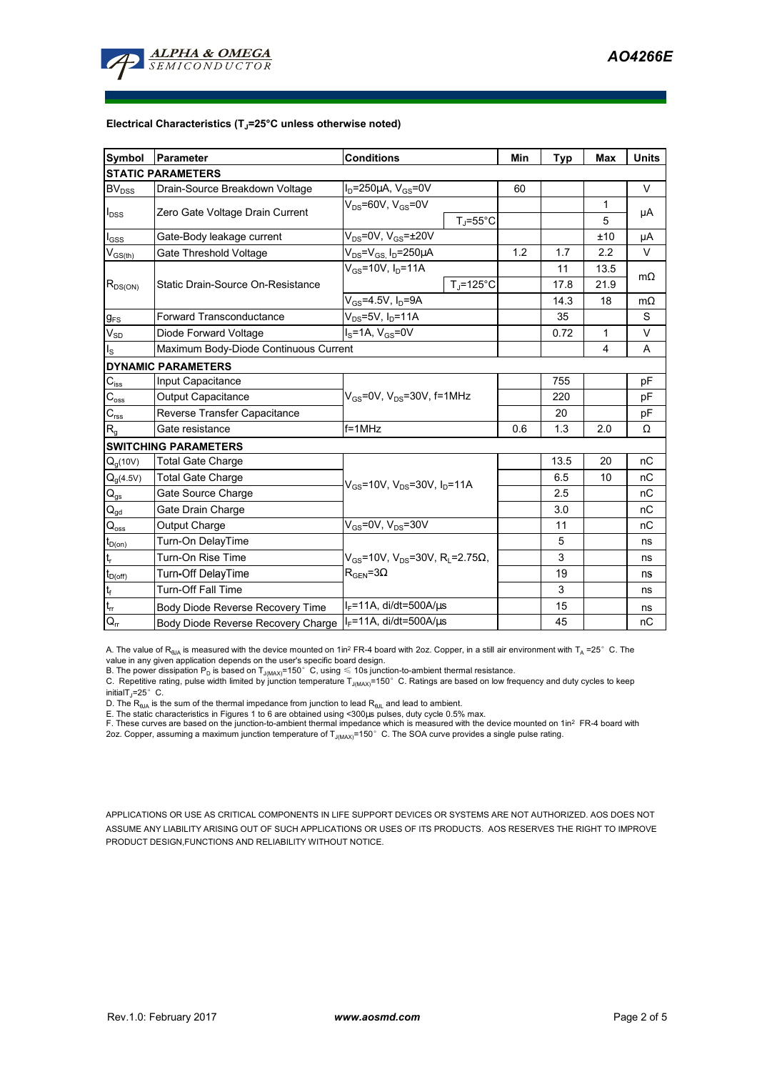

## **Electrical Characteristics (TJ=25°C unless otherwise noted)**

| Symbol                                 | Parameter                                                             | <b>Conditions</b>                                                                                 |                      |     | <b>Typ</b> | <b>Max</b> | <b>Units</b> |  |  |  |  |  |  |
|----------------------------------------|-----------------------------------------------------------------------|---------------------------------------------------------------------------------------------------|----------------------|-----|------------|------------|--------------|--|--|--|--|--|--|
| <b>STATIC PARAMETERS</b>               |                                                                       |                                                                                                   |                      |     |            |            |              |  |  |  |  |  |  |
| <b>BV</b> <sub>DSS</sub>               | Drain-Source Breakdown Voltage                                        | $I_D = 250 \mu A$ , $V_{GS} = 0V$                                                                 |                      | 60  |            |            | V            |  |  |  |  |  |  |
| $I_{\text{DSS}}$                       | Zero Gate Voltage Drain Current                                       | $V_{DS}$ =60V, $V_{GS}$ =0V                                                                       |                      |     |            | 1          |              |  |  |  |  |  |  |
|                                        |                                                                       |                                                                                                   | $T_{\rm J}$ =55°C    |     |            | 5          | μA           |  |  |  |  |  |  |
| $I_{GSS}$                              | Gate-Body leakage current                                             | $V_{DS}$ =0V, $V_{GS}$ = $\pm$ 20V                                                                |                      |     |            | ±10        | μA           |  |  |  |  |  |  |
| $V_{\text{GS(th)}}$                    | Gate Threshold Voltage                                                | $V_{DS} = V_{GS}$ , $I_D = 250 \mu A$                                                             |                      | 1.2 | 1.7        | 2.2        | $\vee$       |  |  |  |  |  |  |
| $R_{DS(ON)}$                           |                                                                       | $V_{GS}$ =10V, $I_{D}$ =11A                                                                       |                      |     | 11         | 13.5       | $m\Omega$    |  |  |  |  |  |  |
|                                        | Static Drain-Source On-Resistance                                     |                                                                                                   | $T_i = 125^{\circ}C$ |     | 17.8       | 21.9       |              |  |  |  |  |  |  |
|                                        |                                                                       | $V_{GS} = 4.5V$ , $I_D = 9A$                                                                      |                      |     | 14.3       | 18         | $m\Omega$    |  |  |  |  |  |  |
| $g_{FS}$                               | $V_{DS}$ =5V, I <sub>D</sub> =11A<br><b>Forward Transconductance</b>  |                                                                                                   |                      |     | 35         |            | S            |  |  |  |  |  |  |
| $V_{SD}$                               | Diode Forward Voltage                                                 | $I_S = 1A$ , $V_{GS} = 0V$                                                                        |                      |     | 0.72       | 1          | V            |  |  |  |  |  |  |
| $I_{\rm S}$                            | Maximum Body-Diode Continuous Current                                 |                                                                                                   |                      | 4   | A          |            |              |  |  |  |  |  |  |
|                                        | <b>DYNAMIC PARAMETERS</b>                                             |                                                                                                   |                      |     |            |            |              |  |  |  |  |  |  |
| $C_{iss}$                              | Input Capacitance                                                     |                                                                                                   |                      |     | 755        |            | pF           |  |  |  |  |  |  |
| $\mathrm{C_{oss}}$                     | Output Capacitance                                                    | $V_{GS}$ =0V, $V_{DS}$ =30V, f=1MHz                                                               |                      |     | 220        |            | pF           |  |  |  |  |  |  |
| $C_{\text{rss}}$                       | Reverse Transfer Capacitance                                          |                                                                                                   |                      | 20  |            | pF         |              |  |  |  |  |  |  |
| $R_{g}$                                | $f = 1$ MHz<br>Gate resistance                                        |                                                                                                   |                      | 0.6 | 1.3        | 2.0        | Ω            |  |  |  |  |  |  |
|                                        | <b>SWITCHING PARAMETERS</b>                                           |                                                                                                   |                      |     |            |            |              |  |  |  |  |  |  |
| $Q_q(10V)$                             | <b>Total Gate Charge</b>                                              |                                                                                                   |                      |     | 13.5       | 20         | nC           |  |  |  |  |  |  |
| $Q_g(4.5V)$                            | <b>Total Gate Charge</b>                                              | $V_{GS}$ =10V, $V_{DS}$ =30V, $I_{D}$ =11A                                                        |                      |     | 6.5        | 10         | nC           |  |  |  |  |  |  |
| $\mathsf{Q}_{\mathsf{gs}}$             | Gate Source Charge                                                    |                                                                                                   |                      |     | 2.5        |            | nC           |  |  |  |  |  |  |
| $\mathsf{Q}_{\underline{\mathsf{gd}}}$ | Gate Drain Charge                                                     |                                                                                                   |                      | 3.0 |            | пC         |              |  |  |  |  |  |  |
| $\mathsf{Q}_{\text{oss}}$              | Output Charge                                                         | $V_{GS}$ =0V, $V_{DS}$ =30V                                                                       |                      |     | 11         |            | nC           |  |  |  |  |  |  |
| $t_{D(0n)}$                            | Turn-On DelayTime                                                     |                                                                                                   |                      |     | 5          |            | ns           |  |  |  |  |  |  |
| $\mathbf{t}_\mathrm{r}$                | Turn-On Rise Time                                                     | $V_{GS}$ =10V, V <sub>DS</sub> =30V, R <sub>L</sub> =2.75 $\Omega$ ,<br>$R_{\rm GEN}$ =3 $\Omega$ |                      |     | 3          |            | ns           |  |  |  |  |  |  |
| $t_{D(off)}$                           | Turn-Off DelayTime                                                    |                                                                                                   |                      |     | 19         |            | ns           |  |  |  |  |  |  |
| $\mathbf{t}_\mathrm{f}$                | Turn-Off Fall Time                                                    |                                                                                                   |                      | 3   |            | ns         |              |  |  |  |  |  |  |
| $t_{\rm cr}$                           | Body Diode Reverse Recovery Time                                      | $I_F$ =11A, di/dt=500A/ $\mu$ s                                                                   |                      |     | 15         |            | ns           |  |  |  |  |  |  |
| $Q_{rr}$                               | $I_F$ =11A, di/dt=500A/ $\mu$ s<br>Body Diode Reverse Recovery Charge |                                                                                                   |                      |     | 45         |            | nC           |  |  |  |  |  |  |

A. The value of R<sub>BJA</sub> is measured with the device mounted on 1in<sup>2</sup> FR-4 board with 2oz. Copper, in a still air environment with T<sub>A</sub> =25°C. The

value in any given application depends on the user's specific board design.<br>B. The power dissipation P<sub>D</sub> is based on T<sub>J(MAX)</sub>=150° C, using ≤ 10s junction-to-ambient thermal resistance.

C. Repetitive rating, pulse width limited by junction temperature  $T_\mathrm{J(MAX)}$ =150°C. Ratings are based on low frequency and duty cycles to keep initialT $j$ =25° C.

D. The  $R_{\thetaJA}$  is the sum of the thermal impedance from junction to lead  $R_{\thetaJL}$  and lead to ambient.

E. The static characteristics in Figures 1 to 6 are obtained using <300µs pulses, duty cycle 0.5% max.<br>F. These curves are based on the junction-to-ambient thermal impedance which is measured with the device mounted on 1i

APPLICATIONS OR USE AS CRITICAL COMPONENTS IN LIFE SUPPORT DEVICES OR SYSTEMS ARE NOT AUTHORIZED. AOS DOES NOT ASSUME ANY LIABILITY ARISING OUT OF SUCH APPLICATIONS OR USES OF ITS PRODUCTS. AOS RESERVES THE RIGHT TO IMPROVE PRODUCT DESIGN,FUNCTIONS AND RELIABILITY WITHOUT NOTICE.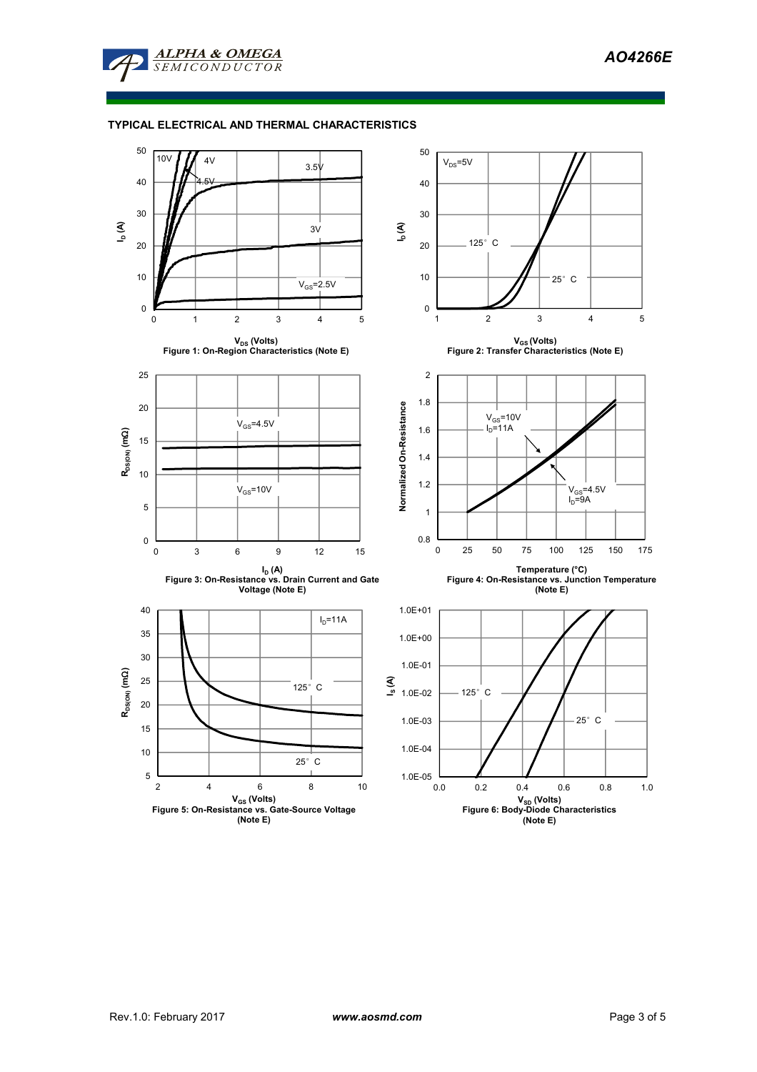

## **TYPICAL ELECTRICAL AND THERMAL CHARACTERISTICS**

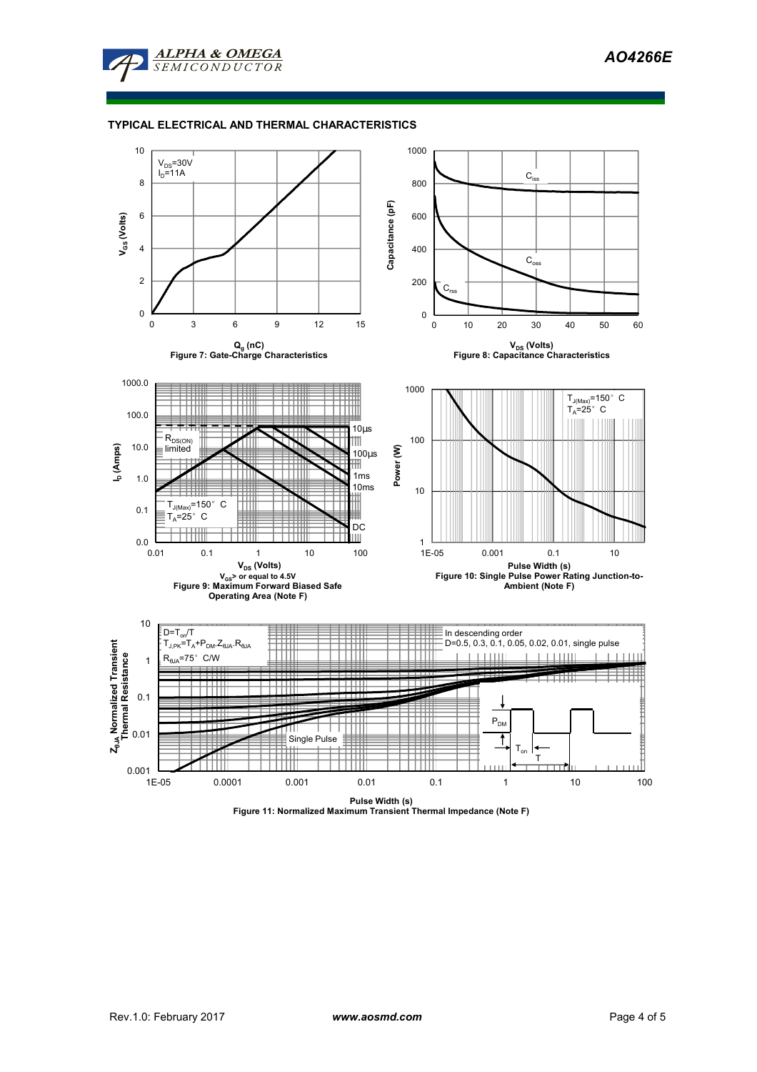

## **TYPICAL ELECTRICAL AND THERMAL CHARACTERISTICS**



**Pulse Width (s) Figure 11: Normalized Maximum Transient Thermal Impedance (Note F)**